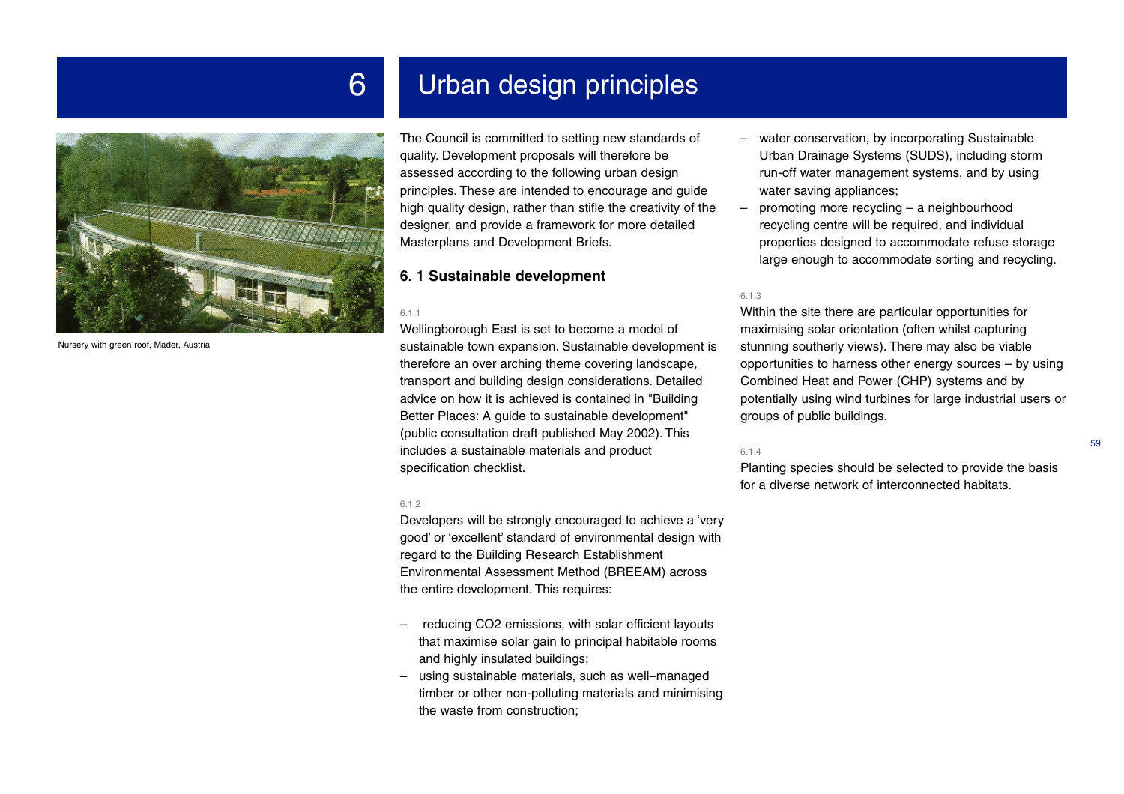



Nursery with green roof, Mader, Austria

The Council is committed to setting new standards of quality. Development proposals will therefore be assessed according to the following urban design principles. These are intended to encourage and guide high quality design, rather than stifle the creativity of the designer, and provide a framework for more detailed Masterplans and Development Briefs.

## **6. 1 Sustainable development**

#### 6.1.1

Wellingborough East is set to become a model of sustainable town expansion. Sustainable development is therefore an over arching theme covering landscape, transport and building design considerations. Detailed advice on how it is achieved is contained in "Building Better Places: A guide to sustainable development" (public consultation draft published May 2002). This includes a sustainable materials and product specification checklist.

#### 6.1.2

Developers will be strongly encouraged to achieve a 'very good' or 'excellent' standard of environmental design with regard to the Building Research Establishment Environmental Assessment Method (BREEAM) across the entire development. This requires:

- – reducing CO2 emissions, with solar efficient layouts that maximise solar gain to principal habitable rooms and highly insulated buildings;
- using sustainable materials, such as well–managed timber or other non-polluting materials and minimising the waste from construction;
- water conservation, by incorporating Sustainable Urban Drainage Systems (SUDS), including storm run-off water management systems, and by using water saving appliances;
- promoting more recycling a neighbourhood recycling centre will be required, and individual properties designed to accommodate refuse storage large enough to accommodate sorting and recycling.

#### 6.1.3

Within the site there are particular opportunities for maximising solar orientation (often whilst capturing stunning southerly views). There may also be viable opportunities to harness other energy sources – by using Combined Heat and Power (CHP) systems and by potentially using wind turbines for large industrial users or groups of public buildings.

#### 6.1.4

Planting species should be selected to provide the basis for a diverse network of interconnected habitats.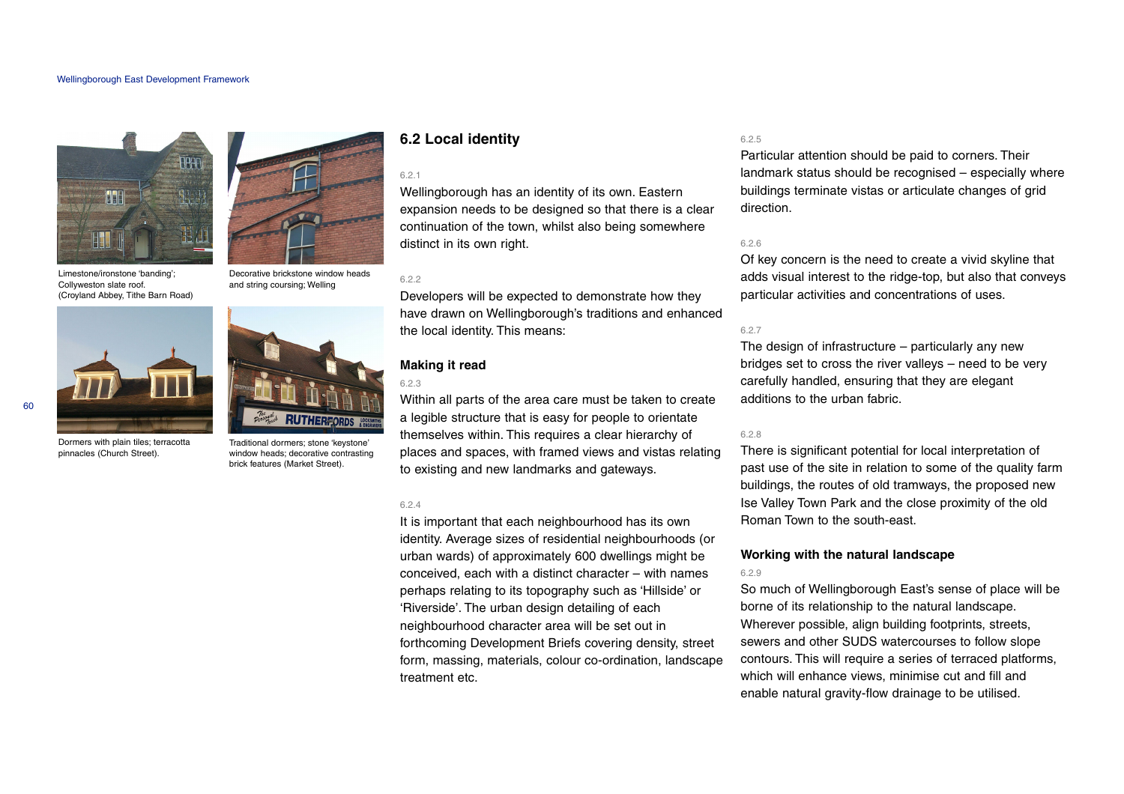

Limestone/ironstone 'banding'; Collyweston slate roof. (Croyland Abbey, Tithe Barn Road)



and string coursing; Welling



Dormers with plain tiles; terracotta pinnacles (Church Street).



Traditional dormers; stone 'keystone' window heads; decorative contrasting brick features (Market Street).

## **6.2 Local identity**

#### 6.2.1

Wellingborough has an identity of its own. Eastern expansion needs to be designed so that there is a clear continuation of the town, whilst also being somewhere distinct in its own right.

#### 622

Developers will be expected to demonstrate how they have drawn on Wellingborough's traditions and enhanced the local identity. This means:

## **Making it read**

#### 6.2.3

Within all parts of the area care must be taken to create a legible structure that is easy for people to orientate themselves within. This requires a clear hierarchy of places and spaces, with framed views and vistas relating to existing and new landmarks and gateways.

#### 6.2.4

It is important that each neighbourhood has its own identity. Average sizes of residential neighbourhoods (or urban wards) of approximately 600 dwellings might be conceived, each with a distinct character – with names perhaps relating to its topography such as 'Hillside' or 'Riverside'. The urban design detailing of each neighbourhood character area will be set out in forthcoming Development Briefs covering density, street form, massing, materials, colour co-ordination, landscape treatment etc.

#### 6.2.5

Particular attention should be paid to corners. Their landmark status should be recognised – especially where buildings terminate vistas or articulate changes of grid direction.

#### 6.2.6

Of key concern is the need to create a vivid skyline that adds visual interest to the ridge-top, but also that conveys particular activities and concentrations of uses.

#### 6.2.7

The design of infrastructure – particularly any new bridges set to cross the river valleys – need to be very carefully handled, ensuring that they are elegant additions to the urban fabric.

#### 6.2.8

There is significant potential for local interpretation of past use of the site in relation to some of the quality farm buildings, the routes of old tramways, the proposed new Ise Valley Town Park and the close proximity of the old Roman Town to the south-east.

## **Working with the natural landscape**

#### 6.2.9

So much of Wellingborough East's sense of place will be borne of its relationship to the natural landscape. Wherever possible, align building footprints, streets, sewers and other SUDS watercourses to follow slope contours. This will require a series of terraced platforms, which will enhance views, minimise cut and fill and enable natural gravity-flow drainage to be utilised.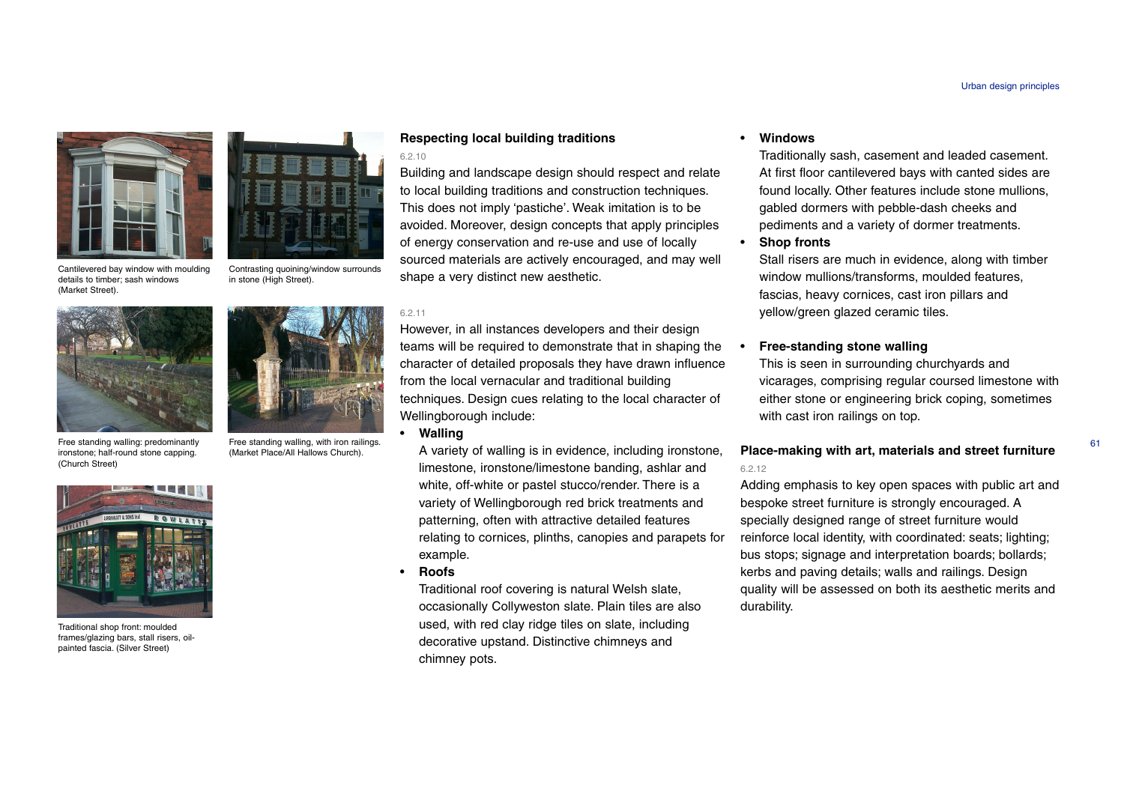



Cantilevered bay window with moulding details to timber; sash windows (Market Street).

Contrasting quoining/window surrounds in stone (High Street).



Free standing walling: predominantly ironstone; half-round stone capping. (Church Street)



Traditional shop front: moulded frames/glazing bars, stall risers, oilpainted fascia. (Silver Street)



Free standing walling, with iron railings. (Market Place/All Hallows Church).

## **Respecting local building traditions**

#### 6.2.10

Building and landscape design should respect and relate to local building traditions and construction techniques. This does not imply 'pastiche'. Weak imitation is to be avoided. Moreover, design concepts that apply principles of energy conservation and re-use and use of locally sourced materials are actively encouraged, and may well shape a very distinct new aesthetic.

#### 6.2.11

However, in all instances developers and their design teams will be required to demonstrate that in shaping the character of detailed proposals they have drawn influence from the local vernacular and traditional building techniques. Design cues relating to the local character of Wellingborough include:

#### • **Walling**

A variety of walling is in evidence, including ironstone, limestone, ironstone/limestone banding, ashlar and white, off-white or pastel stucco/render. There is a variety of Wellingborough red brick treatments and patterning, often with attractive detailed features relating to cornices, plinths, canopies and parapets for example.

•**Roofs**

> Traditional roof covering is natural Welsh slate, occasionally Collyweston slate. Plain tiles are also used, with red clay ridge tiles on slate, including decorative upstand. Distinctive chimneys and chimney pots.

#### •**Windows**

Traditionally sash, casement and leaded casement. At first floor cantilevered bays with canted sides are found locally. Other features include stone mullions, gabled dormers with pebble-dash cheeks and pediments and a variety of dormer treatments.

•**Shop fronts**

•

Stall risers are much in evidence, along with timber window mullions/transforms, moulded features, fascias, heavy cornices, cast iron pillars and yellow/green glazed ceramic tiles.

## **Free-standing stone walling**

This is seen in surrounding churchyards and vicarages, comprising regular coursed limestone with either stone or engineering brick coping, sometimes with cast iron railings on top.

## **Place-making with art, materials and street furniture** 6.2.12

Adding emphasis to key open spaces with public art and bespoke street furniture is strongly encouraged. A specially designed range of street furniture would reinforce local identity, with coordinated: seats; lighting; bus stops; signage and interpretation boards; bollards; kerbs and paving details; walls and railings. Design quality will be assessed on both its aesthetic merits and durability.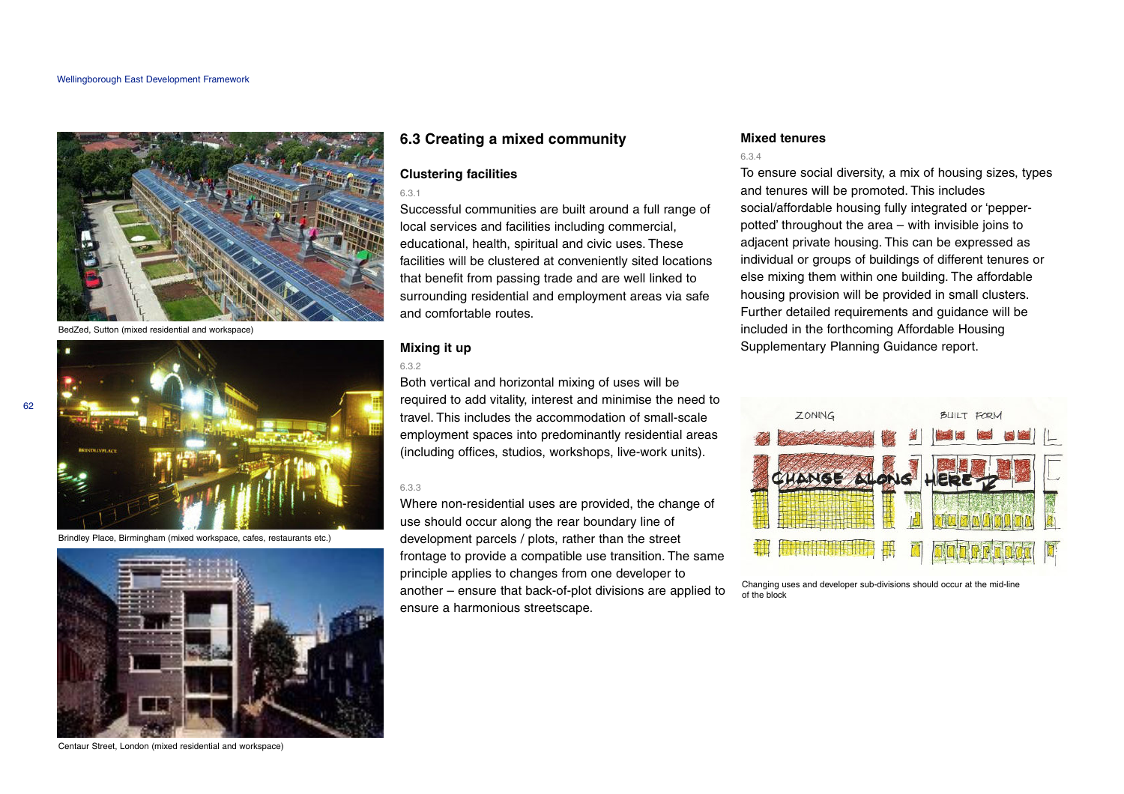

BedZed, Sutton (mixed residential and workspace)



Brindley Place, Birmingham (mixed workspace, cafes, restaurants etc.)



Centaur Street, London (mixed residential and workspace)

## **6.3 Creating a mixed community**

## **Clustering facilities**

6.3.1

Successful communities are built around a full range of local services and facilities including commercial, educational, health, spiritual and civic uses. These facilities will be clustered at conveniently sited locations that benefit from passing trade and are well linked to surrounding residential and employment areas via safe and comfortable routes.

## **Mixing it up**

#### 6.3.2

Both vertical and horizontal mixing of uses will be required to add vitality, interest and minimise the need to travel. This includes the accommodation of small-scale employment spaces into predominantly residential areas (including offices, studios, workshops, live-work units).

#### 6.3.3

Where non-residential uses are provided, the change of use should occur along the rear boundary line of development parcels / plots, rather than the street frontage to provide a compatible use transition. The same principle applies to changes from one developer to another – ensure that back-of-plot divisions are applied to ensure a harmonious streetscape.

## **Mixed tenures**

#### 6.3.4

To ensure social diversity, a mix of housing sizes, types and tenures will be promoted. This includes social/affordable housing fully integrated or 'pepperpotted' throughout the area – with invisible joins to adjacent private housing. This can be expressed as individual or groups of buildings of different tenures or else mixing them within one building. The affordable housing provision will be provided in small clusters. Further detailed requirements and guidance will be included in the forthcoming Affordable Housing Supplementary Planning Guidance report.



Changing uses and developer sub-divisions should occur at the mid-line of the block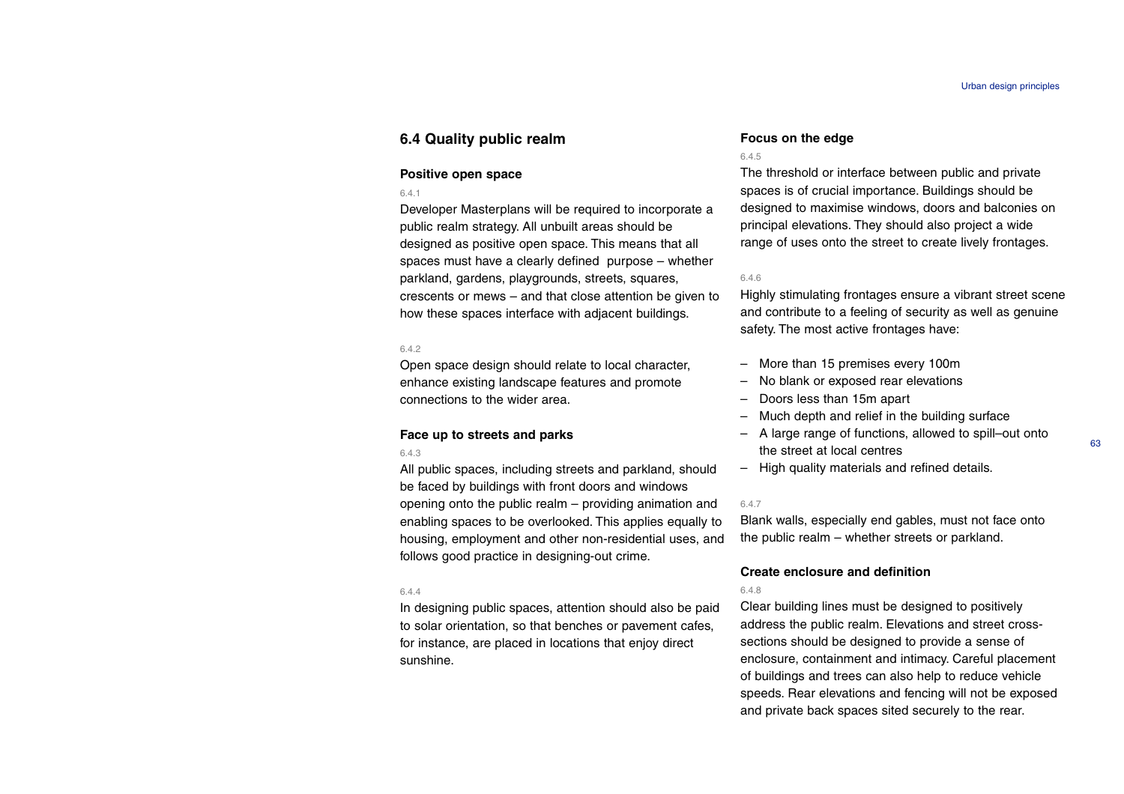## **6.4 Quality public realm**

#### **Positive open space**

#### 6.4.1

Developer Masterplans will be required to incorporate a public realm strategy. All unbuilt areas should be designed as positive open space. This means that all spaces must have a clearly defined purpose – whether parkland, gardens, playgrounds, streets, squares, crescents or mews – and that close attention be given to how these spaces interface with adjacent buildings.

#### 6.4.2

Open space design should relate to local character, enhance existing landscape features and promote connections to the wider area.

#### **Face up to streets and parks**

#### 6.4.3

All public spaces, including streets and parkland, should be faced by buildings with front doors and windows opening onto the public realm – providing animation and enabling spaces to be overlooked. This applies equally to housing, employment and other non-residential uses, and follows good practice in designing-out crime.

#### 6.4.4

In designing public spaces, attention should also be paid to solar orientation, so that benches or pavement cafes, for instance, are placed in locations that enjoy direct sunshine.

#### **Focus on the edge**

#### 6.4.5

The threshold or interface between public and private spaces is of crucial importance. Buildings should be designed to maximise windows, doors and balconies on principal elevations. They should also project a wide range of uses onto the street to create lively frontages.

## 6.4.6

Highly stimulating frontages ensure a vibrant street scene and contribute to a feeling of security as well as genuine safety. The most active frontages have:

- More than 15 premises every 100m
- No blank or exposed rear elevations
- Doors less than 15m apart
- Much depth and relief in the building surface
- A large range of functions, allowed to spill–out onto the street at local centres
- High quality materials and refined details.

#### 6.4.7

Blank walls, especially end gables, must not face onto the public realm – whether streets or parkland.

#### **Create enclosure and definition**

#### 6.4.8

Clear building lines must be designed to positively address the public realm. Elevations and street crosssections should be designed to provide a sense of enclosure, containment and intimacy. Careful placement of buildings and trees can also help to reduce vehicle speeds. Rear elevations and fencing will not be exposed and private back spaces sited securely to the rear.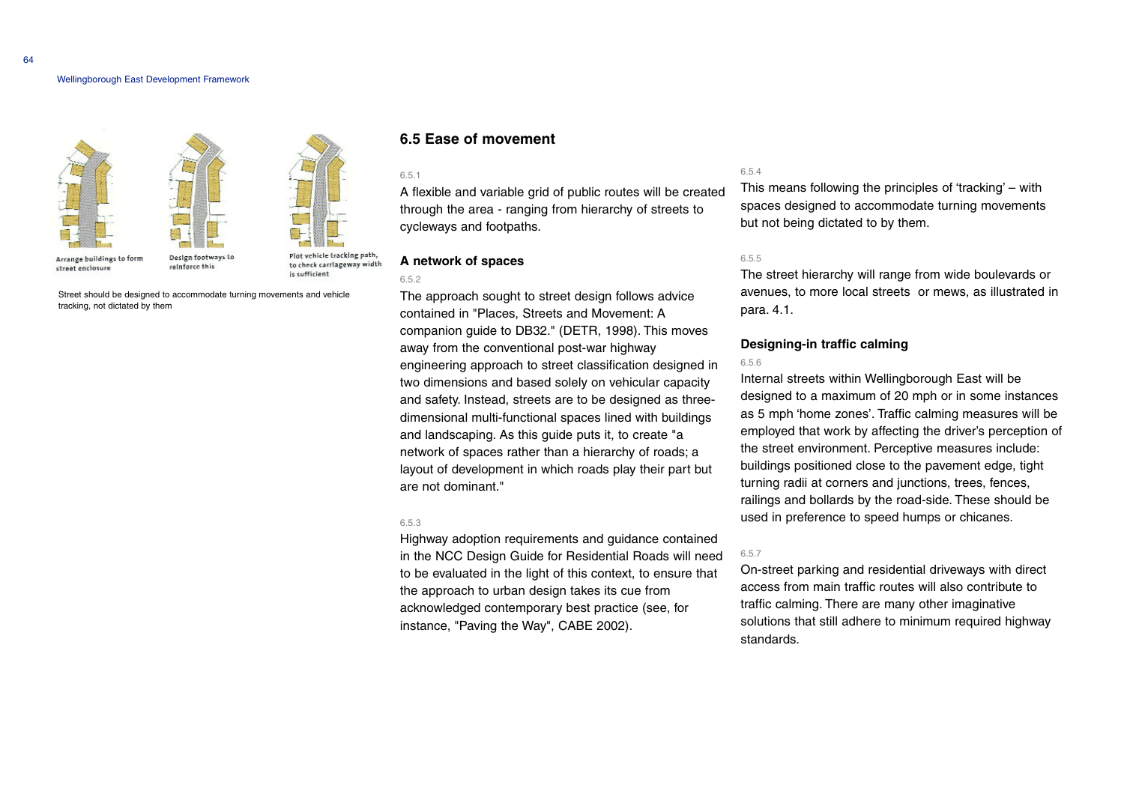#### Wellingborough East Development Framework



Street should be designed to accommodate turning movements and vehicle tracking, not dictated by them

## **6.5 Ease of movement**

#### 6.5.1

A flexible and variable grid of public routes will be created through the area - ranging from hierarchy of streets to cycleways and footpaths.

#### **A network of spaces**

6.5.2

The approach sought to street design follows advice contained in "Places, Streets and Movement: A companion guide to DB32." (DETR, 1998). This moves away from the conventional post-war highway engineering approach to street classification designed in two dimensions and based solely on vehicular capacity and safety. Instead, streets are to be designed as threedimensional multi-functional spaces lined with buildings and landscaping. As this guide puts it, to create "a network of spaces rather than a hierarchy of roads; <sup>a</sup> layout of development in which roads play their part but are not dominant."

#### 6.5.3

Highway adoption requirements and guidance contained in the NCC Design Guide for Residential Roads will need to be evaluated in the light of this context, to ensure that the approach to urban design takes its cue from acknowledged contemporary best practice (see, for instance, "Paving the Way", CABE 2002).

#### 6.5.4

This means following the principles of 'tracking' – with spaces designed to accommodate turning movements but not being dictated to by them.

#### 6.5.5

The street hierarchy will range from wide boulevards or avenues, to more local streets or mews, as illustrated in para. 4.1.

#### **Designing-in traffic calming**

#### 6.5.6

Internal streets within Wellingborough East will be designed to a maximum of 20 mph or in some instances as 5 mph 'home zones'. Traffic calming measures will be employed that work by affecting the driver's perception of the street environment. Perceptive measures include: buildings positioned close to the pavement edge, tight turning radii at corners and junctions, trees, fences, railings and bollards by the road-side. These should be used in preference to speed humps or chicanes.

#### 6.5.7

On-street parking and residential driveways with direct access from main traffic routes will also contribute to traffic calming. There are many other imaginative solutions that still adhere to minimum required highway standards.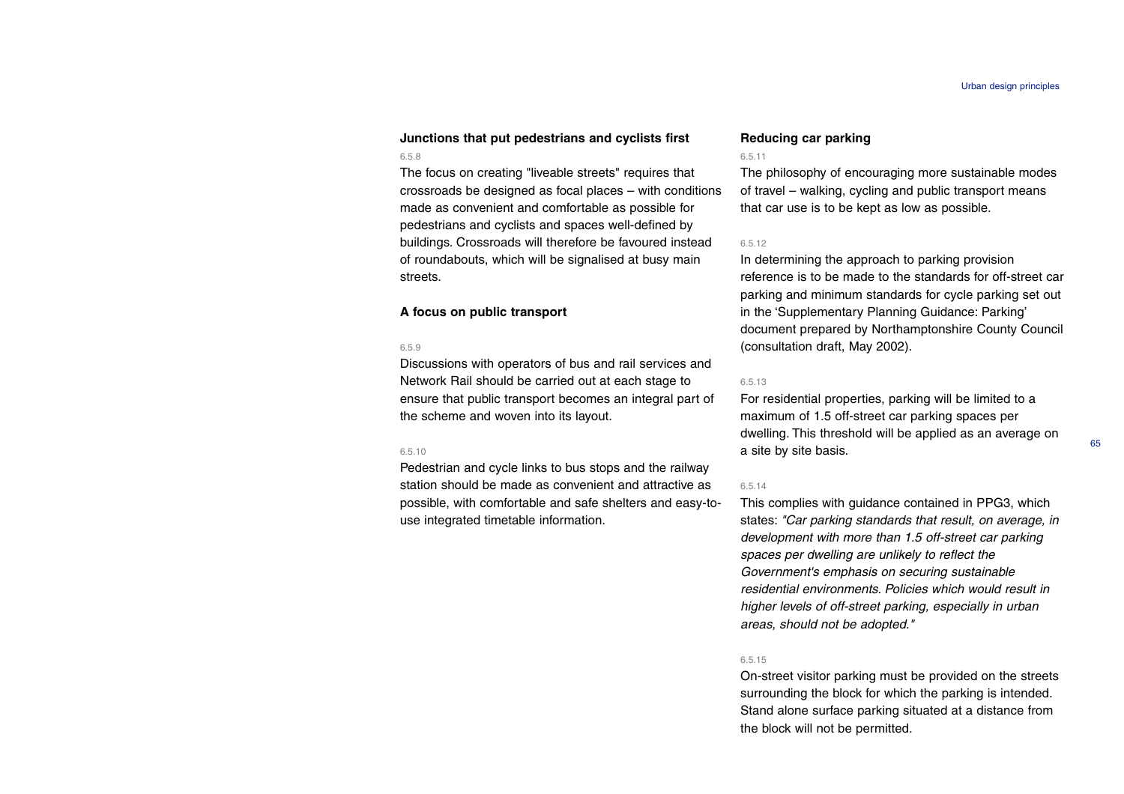## **Junctions that put pedestrians and cyclists first** 6.5.8

The focus on creating "liveable streets" requires that crossroads be designed as focal places – with conditions made as convenient and comfortable as possible for pedestrians and cyclists and spaces well-defined by buildings. Crossroads will therefore be favoured instead of roundabouts, which will be signalised at busy main streets.

#### **A focus on public transport**

#### 6.5.9

Discussions with operators of bus and rail services and Network Rail should be carried out at each stage to ensure that public transport becomes an integral part of the scheme and woven into its layout.

#### 6.5.10

Pedestrian and cycle links to bus stops and the railway station should be made as convenient and attractive as possible, with comfortable and safe shelters and easy-touse integrated timetable information.

#### **Reducing car parking**

#### 6.5.11

The philosophy of encouraging more sustainable modes of travel – walking, cycling and public transport means that car use is to be kept as low as possible.

#### 6.5.12

In determining the approach to parking provision reference is to be made to the standards for off-street car parking and minimum standards for cycle parking set out in the 'Supplementary Planning Guidance: Parking' document prepared by Northamptonshire County Council (consultation draft, May 2002).

#### 6.5.13

For residential properties, parking will be limited to a maximum of 1.5 off-street car parking spaces per dwelling. This threshold will be applied as an average on a site by site basis.

#### 6.5.14

This complies with guidance contained in PPG3, which states: "Car parking standards that result, on average, in development with more than 1.5 off-street car parking spaces per dwelling are unlikely to reflect the Government's emphasis on securing sustainable residential environments. Policies which would result in higher levels of off-street parking, especially in urban areas, should not be adopted."

#### 6.5.15

On-street visitor parking must be provided on the streets surrounding the block for which the parking is intended. Stand alone surface parking situated at a distance from the block will not be permitted.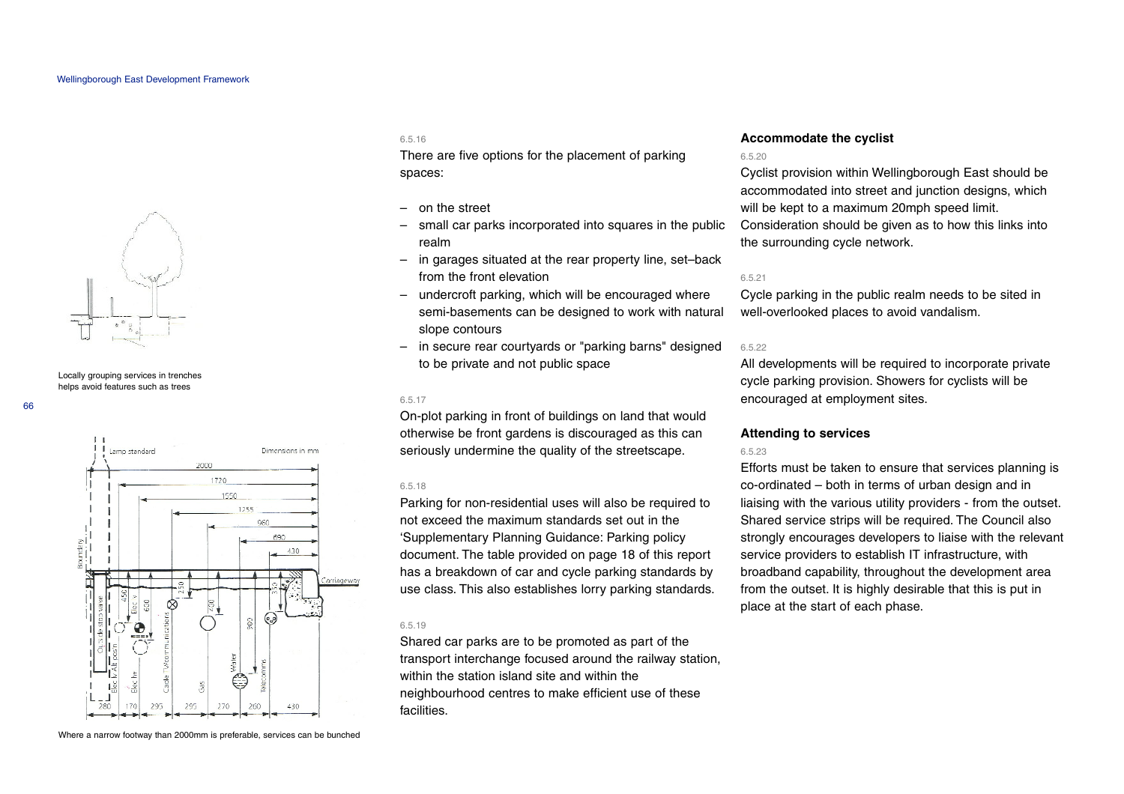

Locally grouping services in trenches helps avoid features such as trees



#### 6.5.16

There are five options for the placement of parking spaces:

- on the street
- small car parks incorporated into squares in the public realm
- in garages situated at the rear property line, set–back from the front elevation
- undercroft parking, which will be encouraged where semi-basements can be designed to work with natural slope contours
- in secure rear courtyards or "parking barns" designed to be private and not public space

#### 6.5.17

On-plot parking in front of buildings on land that would otherwise be front gardens is discouraged as this can seriously undermine the quality of the streetscape.

#### 6.5.18

Parking for non-residential uses will also be required to not exceed the maximum standards set out in the 'Supplementary Planning Guidance: Parking policy document. The table provided on page 18 of this report has a breakdown of car and cycle parking standards by use class. This also establishes lorry parking standards.

## 6.5.19

Shared car parks are to be promoted as part of the transport interchange focused around the railway station, within the station island site and within the neighbourhood centres to make efficient use of these facilities.

#### **Accommodate the cyclist**

#### 6.5.20

Cyclist provision within Wellingborough East should be accommodated into street and junction designs, which will be kept to a maximum 20mph speed limit.

Consideration should be given as to how this links into the surrounding cycle network.

#### 6.5.21

Cycle parking in the public realm needs to be sited in well-overlooked places to avoid vandalism.

#### 6.5.22

All developments will be required to incorporate private cycle parking provision. Showers for cyclists will be encouraged at employment sites.

#### **Attending to services**

## 6.5.23

Efforts must be taken to ensure that services planning is co-ordinated – both in terms of urban design and in liaising with the various utility providers - from the outset. Shared service strips will be required. The Council also strongly encourages developers to liaise with the relevant service providers to establish IT infrastructure, with broadband capability, throughout the development area from the outset. It is highly desirable that this is put in place at the start of each phase.

Where a narrow footway than 2000mm is preferable, services can be bunched